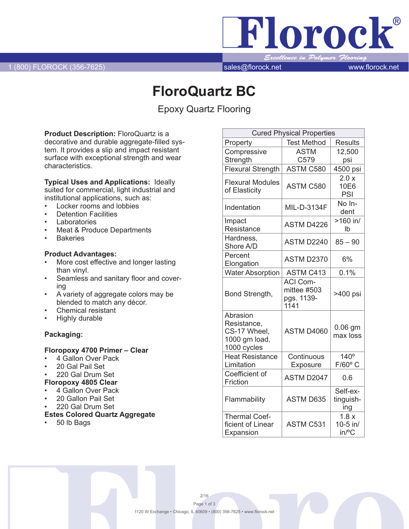Florock® llence in Polymer <mark>Floor</mark>ing

# **FloroQuartz BC**

Epoxy Quartz Flooring

**Product Description:** FloroQuartz is a decorative and durable aggregate-filled system. It provides a slip and impact resistant surface with exceptional strength and wear characteristics.

**Typical Uses and Applications:** Ideally suited for commercial, light industrial and institutional applications, such as:

- Locker rooms and lobbies
- **Detention Facilities**
- **Laboratories**
- Meat & Produce Departments
- **Bakeries**

#### **Product Advantages:**

- More cost effective and longer lasting than vinyl.
- Seamless and sanitary floor and covering
- A variety of aggregate colors may be blended to match any décor.
- Chemical resistant
- **Highly durable**

### **Packaging:**

#### **Floropoxy 4700 Primer – Clear**

- 4 Gallon Over Pack
- 20 Gal Pail Set
- 220 Gal Drum Set
- **Floropoxy 4805 Clear**
- 4 Gallon Over Pack
- 20 Gallon Pail Set
- 220 Gal Drum Set

## **Estes Colored Quartz Aggregate**

50 lb Bags

| <b>Cured Physical Properties</b>                                        |                                                      |                                 |
|-------------------------------------------------------------------------|------------------------------------------------------|---------------------------------|
| Property                                                                | <b>Test Method</b>                                   | <b>Results</b>                  |
| Compressive                                                             | <b>ASTM</b>                                          | 12,500                          |
| Strength                                                                | C579                                                 | psi                             |
| <b>Flexural Strength</b>                                                | ASTM C580                                            | 4500 psi                        |
| <b>Flexural Modules</b><br>of Elasticity                                | ASTM C580                                            | 2.0 x<br>10E6<br>PSI            |
| Indentation                                                             | MIL-D-3134F                                          | No In-<br>dent                  |
| Impact<br>Resistance                                                    | ASTM D4226                                           | $>160$ in/<br>Ib                |
| Hardness,<br>Shore A/D                                                  | ASTM D2240                                           | $85 - 90$                       |
| Percent<br>Elongation                                                   | <b>ASTM D2370</b>                                    | 6%                              |
| <b>Water Absorption</b>                                                 | <b>ASTM C413</b>                                     | 0.1%                            |
| Bond Strength,                                                          | <b>ACI Com-</b><br>mittee #503<br>pgs. 1139-<br>1141 | >400 psi                        |
| Abrasion<br>Resistance,<br>CS-17 Wheel,<br>1000 gm load,<br>1000 cycles | ASTM D4060                                           | $0.06$ gm<br>max loss           |
| <b>Heat Resistance</b><br>Limitation                                    | Continuous<br>Exposure                               | $140^\circ$<br>$F/60^{\circ}$ C |
| Coefficient of<br>Friction                                              | ASTM D2047                                           | 0.6                             |
| Flammability                                                            | <b>ASTM D635</b>                                     | Self-ex-<br>tinguish-<br>ing    |
| <b>Thermal Coef-</b><br>ficient of Linear<br>Expansion                  | <b>ASTM C531</b>                                     | 1.8x<br>10-5 in/<br>in/°C       |

2/16 Page 1 of 3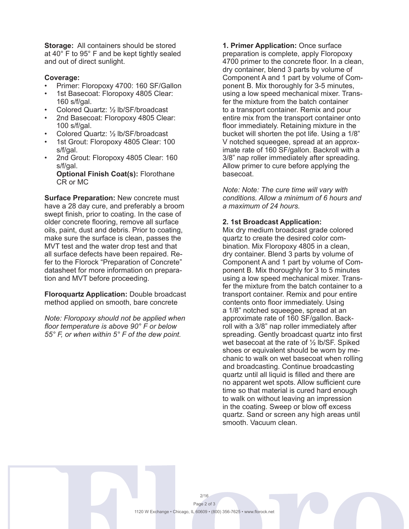**Storage:** All containers should be stored at 40° F to 95° F and be kept tightly sealed and out of direct sunlight.

#### **Coverage:**

- Primer: Floropoxy 4700: 160 SF/Gallon
- 1st Basecoat: Floropoxy 4805 Clear: 160 s/f/gal.
- Colored Quartz: 1/2 lb/SF/broadcast
- 2nd Basecoat: Floropoxy 4805 Clear: 100 s/f/gal.
- Colored Quartz: 1/2 lb/SF/broadcast
- 1st Grout: Floropoxy 4805 Clear: 100 s/f/gal.
- 2nd Grout: Floropoxy 4805 Clear: 160 s/f/gal.

**Optional Finish Coat(s):** Florothane CR or MC

**Surface Preparation:** New concrete must have a 28 day cure, and preferably a broom swept finish, prior to coating. In the case of older concrete flooring, remove all surface oils, paint, dust and debris. Prior to coating, make sure the surface is clean, passes the MVT test and the water drop test and that all surface defects have been repaired. Refer to the Florock "Preparation of Concrete" datasheet for more information on preparation and MVT before proceeding.

**Floroquartz Application:** Double broadcast method applied on smooth, bare concrete

*Note: Floropoxy should not be applied when floor temperature is above 90° F or below 55° F, or when within 5° F of the dew point.*

**1. Primer Application:** Once surface preparation is complete, apply Floropoxy 4700 primer to the concrete floor. In a clean, dry container, blend 3 parts by volume of Component A and 1 part by volume of Component B. Mix thoroughly for 3-5 minutes, using a low speed mechanical mixer. Transfer the mixture from the batch container to a transport container. Remix and pour entire mix from the transport container onto floor immediately. Retaining mixture in the bucket will shorten the pot life. Using a 1/8" V notched squeegee, spread at an approximate rate of 160 SF/gallon. Backroll with a 3/8" nap roller immediately after spreading. Allow primer to cure before applying the basecoat.

*Note: Note: The cure time will vary with conditions. Allow a minimum of 6 hours and a maximum of 24 hours.*

#### **2. 1st Broadcast Application:**

Mix dry medium broadcast grade colored quartz to create the desired color combination. Mix Floropoxy 4805 in a clean, dry container. Blend 3 parts by volume of Component A and 1 part by volume of Component B. Mix thoroughly for 3 to 5 minutes using a low speed mechanical mixer. Transfer the mixture from the batch container to a transport container. Remix and pour entire contents onto floor immediately. Using a 1/8" notched squeegee, spread at an approximate rate of 160 SF/gallon. Backroll with a 3/8" nap roller immediately after spreading. Gently broadcast quartz into first wet basecoat at the rate of ½ lb/SF. Spiked shoes or equivalent should be worn by mechanic to walk on wet basecoat when rolling and broadcasting. Continue broadcasting quartz until all liquid is filled and there are no apparent wet spots. Allow sufficient cure time so that material is cured hard enough to walk on without leaving an impression in the coating. Sweep or blow off excess quartz. Sand or screen any high areas until smooth. Vacuum clean.

2/16